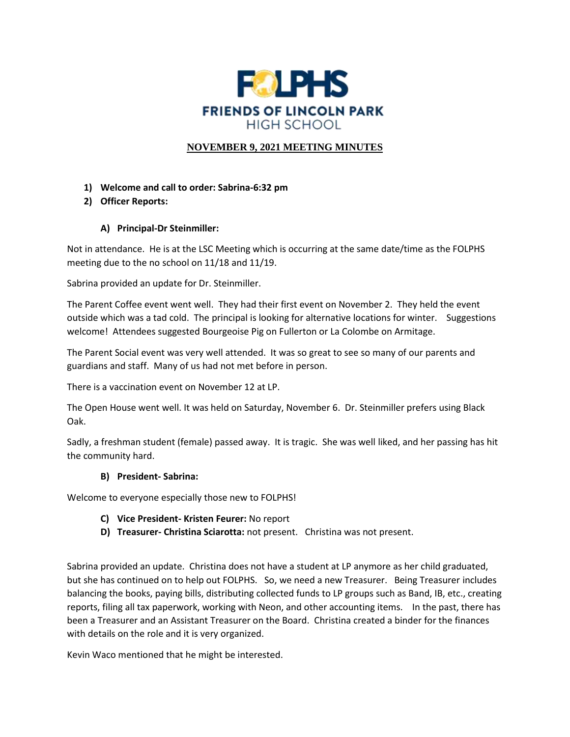

### **NOVEMBER 9, 2021 MEETING MINUTES**

- **1) Welcome and call to order: Sabrina-6:32 pm**
- **2) Officer Reports:**

### **A) Principal-Dr Steinmiller:**

Not in attendance. He is at the LSC Meeting which is occurring at the same date/time as the FOLPHS meeting due to the no school on 11/18 and 11/19.

Sabrina provided an update for Dr. Steinmiller.

The Parent Coffee event went well. They had their first event on November 2. They held the event outside which was a tad cold. The principal is looking for alternative locations for winter. Suggestions welcome! Attendees suggested Bourgeoise Pig on Fullerton or La Colombe on Armitage.

The Parent Social event was very well attended. It was so great to see so many of our parents and guardians and staff. Many of us had not met before in person.

There is a vaccination event on November 12 at LP.

The Open House went well. It was held on Saturday, November 6. Dr. Steinmiller prefers using Black Oak.

Sadly, a freshman student (female) passed away. It is tragic. She was well liked, and her passing has hit the community hard.

### **B) President- Sabrina:**

Welcome to everyone especially those new to FOLPHS!

- **C) Vice President- Kristen Feurer:** No report
- **D) Treasurer- Christina Sciarotta:** not present. Christina was not present.

Sabrina provided an update. Christina does not have a student at LP anymore as her child graduated, but she has continued on to help out FOLPHS. So, we need a new Treasurer. Being Treasurer includes balancing the books, paying bills, distributing collected funds to LP groups such as Band, IB, etc., creating reports, filing all tax paperwork, working with Neon, and other accounting items. In the past, there has been a Treasurer and an Assistant Treasurer on the Board. Christina created a binder for the finances with details on the role and it is very organized.

Kevin Waco mentioned that he might be interested.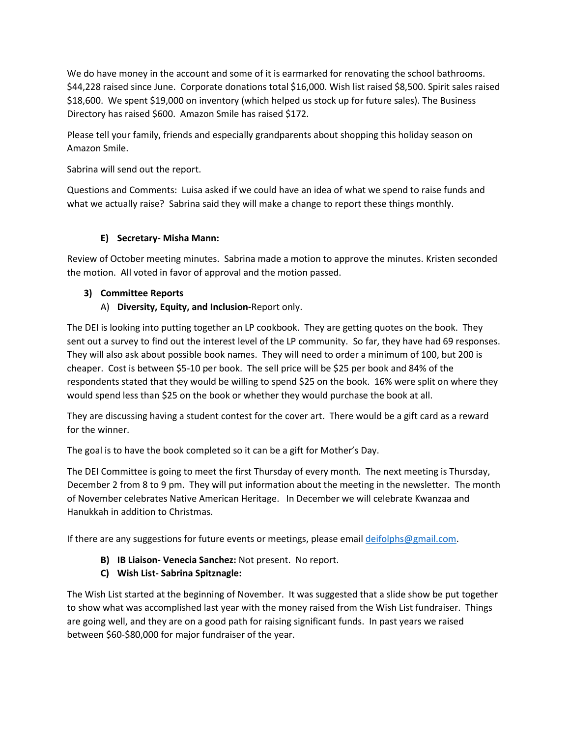We do have money in the account and some of it is earmarked for renovating the school bathrooms. \$44,228 raised since June. Corporate donations total \$16,000. Wish list raised \$8,500. Spirit sales raised \$18,600. We spent \$19,000 on inventory (which helped us stock up for future sales). The Business Directory has raised \$600. Amazon Smile has raised \$172.

Please tell your family, friends and especially grandparents about shopping this holiday season on Amazon Smile.

Sabrina will send out the report.

Questions and Comments: Luisa asked if we could have an idea of what we spend to raise funds and what we actually raise? Sabrina said they will make a change to report these things monthly.

### **E) Secretary- Misha Mann:**

Review of October meeting minutes. Sabrina made a motion to approve the minutes. Kristen seconded the motion. All voted in favor of approval and the motion passed.

### **3) Committee Reports**

A) **Diversity, Equity, and Inclusion-**Report only.

The DEI is looking into putting together an LP cookbook. They are getting quotes on the book. They sent out a survey to find out the interest level of the LP community. So far, they have had 69 responses. They will also ask about possible book names. They will need to order a minimum of 100, but 200 is cheaper. Cost is between \$5-10 per book. The sell price will be \$25 per book and 84% of the respondents stated that they would be willing to spend \$25 on the book. 16% were split on where they would spend less than \$25 on the book or whether they would purchase the book at all.

They are discussing having a student contest for the cover art. There would be a gift card as a reward for the winner.

The goal is to have the book completed so it can be a gift for Mother's Day.

The DEI Committee is going to meet the first Thursday of every month. The next meeting is Thursday, December 2 from 8 to 9 pm. They will put information about the meeting in the newsletter. The month of November celebrates Native American Heritage. In December we will celebrate Kwanzaa and Hanukkah in addition to Christmas.

If there are any suggestions for future events or meetings, please emai[l deifolphs@gmail.com.](mailto:deifolphs@gmail.com)

- **B) IB Liaison- Venecia Sanchez:** Not present. No report.
- **C) Wish List- Sabrina Spitznagle:**

The Wish List started at the beginning of November. It was suggested that a slide show be put together to show what was accomplished last year with the money raised from the Wish List fundraiser. Things are going well, and they are on a good path for raising significant funds. In past years we raised between \$60-\$80,000 for major fundraiser of the year.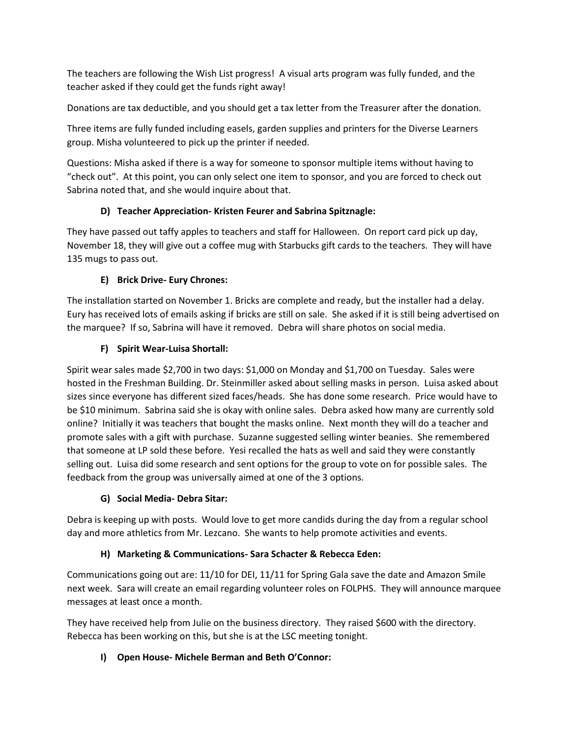The teachers are following the Wish List progress! A visual arts program was fully funded, and the teacher asked if they could get the funds right away!

Donations are tax deductible, and you should get a tax letter from the Treasurer after the donation.

Three items are fully funded including easels, garden supplies and printers for the Diverse Learners group. Misha volunteered to pick up the printer if needed.

Questions: Misha asked if there is a way for someone to sponsor multiple items without having to "check out". At this point, you can only select one item to sponsor, and you are forced to check out Sabrina noted that, and she would inquire about that.

### **D) Teacher Appreciation- Kristen Feurer and Sabrina Spitznagle:**

They have passed out taffy apples to teachers and staff for Halloween. On report card pick up day, November 18, they will give out a coffee mug with Starbucks gift cards to the teachers. They will have 135 mugs to pass out.

# **E) Brick Drive- Eury Chrones:**

The installation started on November 1. Bricks are complete and ready, but the installer had a delay. Eury has received lots of emails asking if bricks are still on sale. She asked if it is still being advertised on the marquee? If so, Sabrina will have it removed. Debra will share photos on social media.

# **F) Spirit Wear-Luisa Shortall:**

Spirit wear sales made \$2,700 in two days: \$1,000 on Monday and \$1,700 on Tuesday. Sales were hosted in the Freshman Building. Dr. Steinmiller asked about selling masks in person. Luisa asked about sizes since everyone has different sized faces/heads. She has done some research. Price would have to be \$10 minimum. Sabrina said she is okay with online sales. Debra asked how many are currently sold online? Initially it was teachers that bought the masks online. Next month they will do a teacher and promote sales with a gift with purchase. Suzanne suggested selling winter beanies. She remembered that someone at LP sold these before. Yesi recalled the hats as well and said they were constantly selling out. Luisa did some research and sent options for the group to vote on for possible sales. The feedback from the group was universally aimed at one of the 3 options.

# **G) Social Media- Debra Sitar:**

Debra is keeping up with posts. Would love to get more candids during the day from a regular school day and more athletics from Mr. Lezcano. She wants to help promote activities and events.

# **H) Marketing & Communications- Sara Schacter & Rebecca Eden:**

Communications going out are: 11/10 for DEI, 11/11 for Spring Gala save the date and Amazon Smile next week. Sara will create an email regarding volunteer roles on FOLPHS. They will announce marquee messages at least once a month.

They have received help from Julie on the business directory. They raised \$600 with the directory. Rebecca has been working on this, but she is at the LSC meeting tonight.

# **I) Open House- Michele Berman and Beth O'Connor:**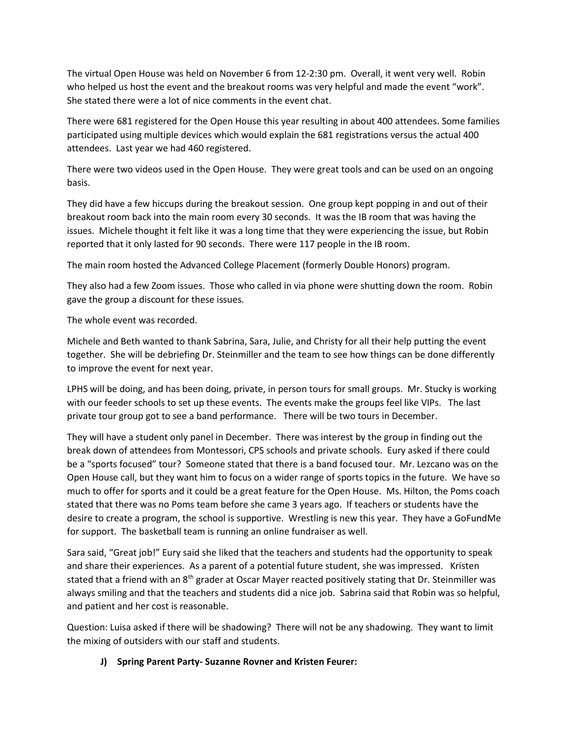The virtual Open House was held on November 6 from 12-2:30 pm. Overall, it went very well. Robin who helped us host the event and the breakout rooms was very helpful and made the event "work". She stated there were a lot of nice comments in the event chat.

There were 681 registered for the Open House this year resulting in about 400 attendees. Some families participated using multiple devices which would explain the 681 registrations versus the actual 400 attendees. Last year we had 460 registered.

There were two videos used in the Open House. They were great tools and can be used on an ongoing basis.

They did have a few hiccups during the breakout session. One group kept popping in and out of their breakout room back into the main room every 30 seconds. It was the IB room that was having the issues. Michele thought it felt like it was a long time that they were experiencing the issue, but Robin reported that it only lasted for 90 seconds. There were 117 people in the IB room.

The main room hosted the Advanced College Placement (formerly Double Honors) program.

They also had a few Zoom issues. Those who called in via phone were shutting down the room. Robin gave the group a discount for these issues.

The whole event was recorded.

Michele and Beth wanted to thank Sabrina, Sara, Julie, and Christy for all their help putting the event together. She will be debriefing Dr. Steinmiller and the team to see how things can be done differently to improve the event for next year.

LPHS will be doing, and has been doing, private, in person tours for small groups. Mr. Stucky is working with our feeder schools to set up these events. The events make the groups feel like VIPs. The last private tour group got to see a band performance. There will be two tours in December.

They will have a student only panel in December. There was interest by the group in finding out the break down of attendees from Montessori, CPS schools and private schools. Eury asked if there could be a "sports focused" tour? Someone stated that there is a band focused tour. Mr. Lezcano was on the Open House call, but they want him to focus on a wider range of sports topics in the future. We have so much to offer for sports and it could be a great feature for the Open House. Ms. Hilton, the Poms coach stated that there was no Poms team before she came 3 years ago. If teachers or students have the desire to create a program, the school is supportive. Wrestling is new this year. They have a GoFundMe for support. The basketball team is running an online fundraiser as well.

Sara said, "Great job!" Eury said she liked that the teachers and students had the opportunity to speak and share their experiences. As a parent of a potential future student, she was impressed. Kristen stated that a friend with an 8<sup>th</sup> grader at Oscar Mayer reacted positively stating that Dr. Steinmiller was always smiling and that the teachers and students did a nice job. Sabrina said that Robin was so helpful, and patient and her cost is reasonable.

Question: Luisa asked if there will be shadowing? There will not be any shadowing. They want to limit the mixing of outsiders with our staff and students.

### **J) Spring Parent Party- Suzanne Rovner and Kristen Feurer:**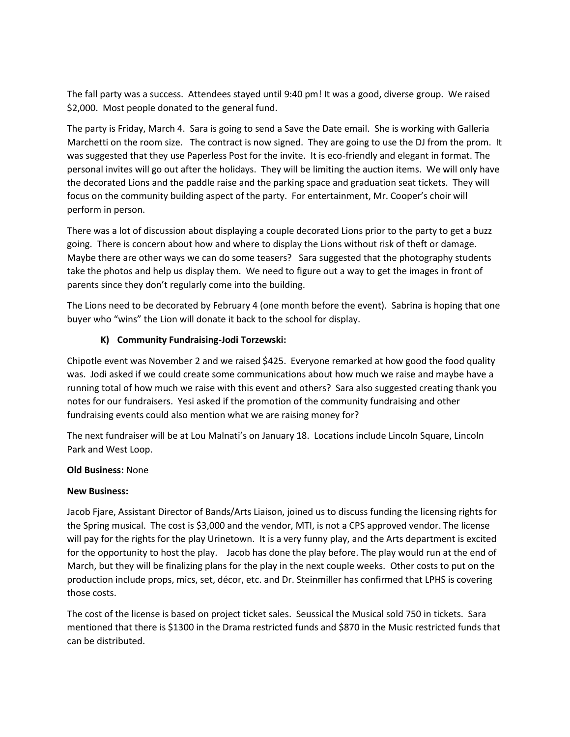The fall party was a success. Attendees stayed until 9:40 pm! It was a good, diverse group. We raised \$2,000. Most people donated to the general fund.

The party is Friday, March 4. Sara is going to send a Save the Date email. She is working with Galleria Marchetti on the room size. The contract is now signed. They are going to use the DJ from the prom. It was suggested that they use Paperless Post for the invite. It is eco-friendly and elegant in format. The personal invites will go out after the holidays. They will be limiting the auction items. We will only have the decorated Lions and the paddle raise and the parking space and graduation seat tickets. They will focus on the community building aspect of the party. For entertainment, Mr. Cooper's choir will perform in person.

There was a lot of discussion about displaying a couple decorated Lions prior to the party to get a buzz going. There is concern about how and where to display the Lions without risk of theft or damage. Maybe there are other ways we can do some teasers? Sara suggested that the photography students take the photos and help us display them. We need to figure out a way to get the images in front of parents since they don't regularly come into the building.

The Lions need to be decorated by February 4 (one month before the event). Sabrina is hoping that one buyer who "wins" the Lion will donate it back to the school for display.

### **K) Community Fundraising-Jodi Torzewski:**

Chipotle event was November 2 and we raised \$425. Everyone remarked at how good the food quality was. Jodi asked if we could create some communications about how much we raise and maybe have a running total of how much we raise with this event and others? Sara also suggested creating thank you notes for our fundraisers. Yesi asked if the promotion of the community fundraising and other fundraising events could also mention what we are raising money for?

The next fundraiser will be at Lou Malnati's on January 18. Locations include Lincoln Square, Lincoln Park and West Loop.

### **Old Business:** None

### **New Business:**

Jacob Fjare, Assistant Director of Bands/Arts Liaison, joined us to discuss funding the licensing rights for the Spring musical. The cost is \$3,000 and the vendor, MTI, is not a CPS approved vendor. The license will pay for the rights for the play Urinetown. It is a very funny play, and the Arts department is excited for the opportunity to host the play. Jacob has done the play before. The play would run at the end of March, but they will be finalizing plans for the play in the next couple weeks. Other costs to put on the production include props, mics, set, décor, etc. and Dr. Steinmiller has confirmed that LPHS is covering those costs.

The cost of the license is based on project ticket sales. Seussical the Musical sold 750 in tickets. Sara mentioned that there is \$1300 in the Drama restricted funds and \$870 in the Music restricted funds that can be distributed.